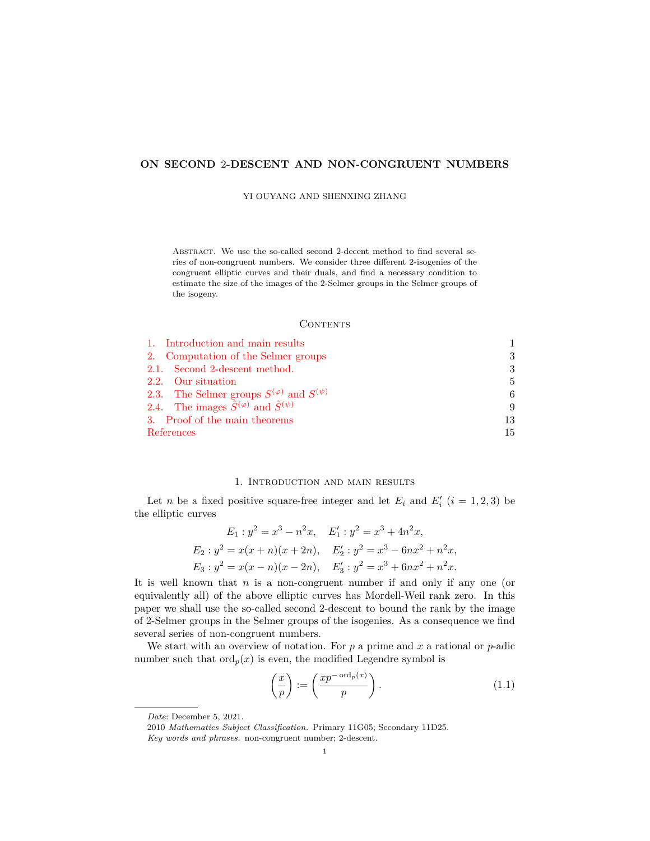# **ON SECOND** 2**-DESCENT AND NON-CONGRUENT NUMBERS**

YI OUYANG AND SHENXING ZHANG

ABSTRACT. We use the so-called second 2-decent method to find several series of non-congruent numbers. We consider three different 2-isogenies of the congruent elliptic curves and their duals, and find a necessary condition to estimate the size of the images of the 2-Selmer groups in the Selmer groups of the isogeny.

#### **CONTENTS**

| 1. Introduction and main results                                 |     |
|------------------------------------------------------------------|-----|
| 2. Computation of the Selmer groups                              | 3   |
| 2.1. Second 2-descent method.                                    | 3   |
| 2.2. Our situation                                               | 5.  |
| 2.3. The Selmer groups $S^{(\varphi)}$ and $S^{(\psi)}$          | 6   |
| 2.4. The images $\tilde{S}^{(\varphi)}$ and $\tilde{S}^{(\psi)}$ | 9   |
| 3. Proof of the main theorems                                    | 13  |
| References                                                       | 15. |

#### 1. Introduction and main results

<span id="page-0-0"></span>Let *n* be a fixed positive square-free integer and let  $E_i$  and  $E'_i$  ( $i = 1, 2, 3$ ) be the elliptic curves

$$
E_1: y^2 = x^3 - n^2x, \quad E'_1: y^2 = x^3 + 4n^2x,
$$
  
\n
$$
E_2: y^2 = x(x+n)(x+2n), \quad E'_2: y^2 = x^3 - 6nx^2 + n^2x,
$$
  
\n
$$
E_3: y^2 = x(x-n)(x-2n), \quad E'_3: y^2 = x^3 + 6nx^2 + n^2x.
$$

It is well known that *n* is a non-congruent number if and only if any one (or equivalently all) of the above elliptic curves has Mordell-Weil rank zero. In this paper we shall use the so-called second 2-descent to bound the rank by the image of 2-Selmer groups in the Selmer groups of the isogenies. As a consequence we find several series of non-congruent numbers.

We start with an overview of notation. For *p* a prime and *x* a rational or *p*-adic number such that  $\text{ord}_p(x)$  is even, the modified Legendre symbol is

$$
\left(\frac{x}{p}\right) := \left(\frac{xp^{-\operatorname{ord}_p(x)}}{p}\right). \tag{1.1}
$$

*Date*: December 5, 2021.

<sup>2010</sup> *Mathematics Subject Classification.* Primary 11G05; Secondary 11D25.

*Key words and phrases.* non-congruent number; 2-descent.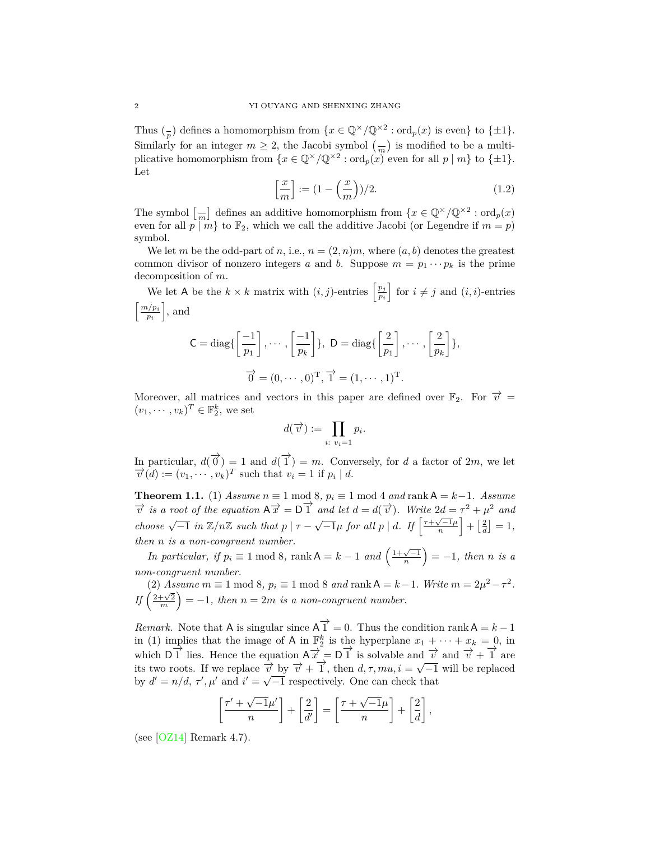Thus  $\binom{p}{p}$  defines a homomorphism from  $\{x \in \mathbb{Q}^\times/\mathbb{Q}^{\times2} : \text{ord}_p(x) \text{ is even}\}\)$  to  $\{\pm 1\}.$ Similarly for an integer  $m \geq 2$ , the Jacobi symbol  $\left(\frac{m}{m}\right)$  is modified to be a multiplicative homomorphism from  $\{x \in \mathbb{Q}^\times/\mathbb{Q}^{\times 2} : \text{ord}_p(x) \text{ even for all } p \mid m\}$  to  $\{\pm 1\}$ . Let

$$
\left[\frac{x}{m}\right] := \left(1 - \left(\frac{x}{m}\right)\right)/2. \tag{1.2}
$$

The symbol  $\left[\frac{1}{m}\right]$  defines an additive homomorphism from  $\{x \in \mathbb{Q}^\times/\mathbb{Q}^{\times2} : \text{ord}_p(x) \}$ even for all  $p | m$ <sup>}</sup> to  $\mathbb{F}_2$ , which we call the additive Jacobi (or Legendre if  $m = p$ ) symbol.

We let *m* be the odd-part of *n*, i.e.,  $n = (2, n)m$ , where  $(a, b)$  denotes the greatest common divisor of nonzero integers *a* and *b*. Suppose  $m = p_1 \cdots p_k$  is the prime decomposition of *m*.

We let A be the  $k \times k$  matrix with  $(i, j)$ -entries  $\left[\frac{p_j}{p_j}\right]$ *pi*  $\Big\}$  for  $i \neq j$  and  $(i, i)$ -entries  $\lceil m/p_i \rceil$ *pi* ] , and

$$
\mathsf{C} = \text{diag}\left\{ \left[ \frac{-1}{p_1} \right], \cdots, \left[ \frac{-1}{p_k} \right] \right\}, \ \mathsf{D} = \text{diag}\left\{ \left[ \frac{2}{p_1} \right], \cdots, \left[ \frac{2}{p_k} \right] \right\},\
$$

$$
\overrightarrow{0} = (0, \cdots, 0)^{\mathrm{T}}, \overrightarrow{1} = (1, \cdots, 1)^{\mathrm{T}}.
$$

Moreover, all matrices and vectors in this paper are defined over  $\mathbb{F}_2$ . For  $\vec{v}$  =  $(v_1, \dots, v_k)^T \in \mathbb{F}_2^k$ , we set

$$
d(\overrightarrow{v}) := \prod_{i: v_i=1} p_i.
$$

In particular,  $d(\vec{0}) = 1$  and  $d(\vec{1}) = m$ . Conversely, for *d* a factor of 2*m*, we let  $\overline{v^l}(d) := (v_1, \dots, v_k)^T$  such that  $v_i = 1$  if  $p_i \mid d$ .

<span id="page-1-0"></span>**Theorem 1.1.** (1) *Assume*  $n \equiv 1 \mod 8$ ,  $p_i \equiv 1 \mod 4$  *and*  $\text{rank } A = k-1$ *. Assume*  $\overrightarrow{v}$  *is a root of the equation*  $A\overrightarrow{x} = D\overrightarrow{1}$  *and let*  $d = d(\overrightarrow{v})$ *. Write*  $2d = \tau^2 + \mu^2$  *and* choose  $\sqrt{-1}$  in  $\mathbb{Z}/n\mathbb{Z}$  such that  $p \mid \tau - \sqrt{-1}\mu$  for all  $p \mid d$ . If  $\left\lceil \frac{\tau + \sqrt{-1}\mu}{n} \right\rceil$  $\Big] + \Big[\frac{2}{d}\Big] = 1,$ *then n is a non-congruent number.*

*In particular, if*  $p_i \equiv 1 \mod 8$ , rank  $A = k - 1$  *and*  $\left(\frac{1 + \sqrt{-1}}{n}\right)$  $= -1$ *, then n is a non-congruent number.*

(2) *Assume*  $m \equiv 1 \mod 8$ ,  $p_i \equiv 1 \mod 8$  *and* rank  $A = k - 1$ *. Write*  $m = 2\mu^2 - \tau^2$ *.*  $If\left(\frac{2+\sqrt{2}}{m}\right)$  $= -1$ , then  $n = 2m$  is a non-congruent number.

*Remark.* Note that A is singular since  $\overrightarrow{A} = 0$ . Thus the condition rank A = *k* - 1 in (1) implies that the image of A in  $\mathbb{F}_2^k$  is the hyperplane  $x_1 + \cdots + x_k = 0$ , in which  $\overrightarrow{D}$ <sup>1</sup> lies. Hence the equation  $\overrightarrow{A}$   $\overrightarrow{x}$  =  $\overrightarrow{D}$  is solvable and  $\overrightarrow{v}$  and  $\overrightarrow{v}$  +  $\overrightarrow{1}$  are its two roots. If we replace  $\vec{v}$  by  $\vec{v}$  +  $\vec{1}$ , then *d, τ, mu, i* =  $\sqrt{-1}$  will be replaced by  $d' = n/d$ ,  $\tau'$ ,  $\mu'$  and  $i' = \sqrt{-1}$  respectively. One can check that

$$
\left[\frac{\tau'+\sqrt{-1}\mu'}{n}\right]+\left[\frac{2}{d'}\right]=\left[\frac{\tau+\sqrt{-1}\mu}{n}\right]+\left[\frac{2}{d}\right],
$$

(see  $[OZ14]$  Remark 4.7).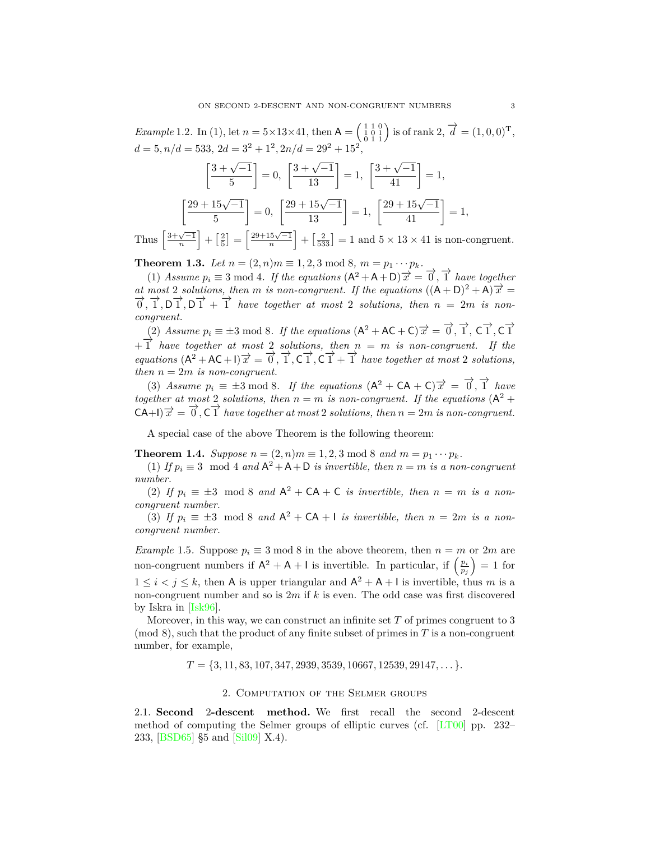*Example* 1.2. In (1), let  $n = 5 \times 13 \times 41$ , then  $A = \begin{pmatrix} 1 & 1 & 0 \\ 1 & 0 & 1 \\ 0 & 1 & 1 \end{pmatrix}$  is of rank  $2, \vec{d} = (1, 0, 0)^T$ ,  $d = 5, n/d = 533, 2d = 3^2 + 1^2, 2n/d = 29^2 + 15^2,$ 

$$
\left[\frac{3+\sqrt{-1}}{5}\right] = 0, \quad \left[\frac{3+\sqrt{-1}}{13}\right] = 1, \quad \left[\frac{3+\sqrt{-1}}{41}\right] = 1,
$$
\n
$$
\left[\frac{29+15\sqrt{-1}}{5}\right] = 0, \quad \left[\frac{29+15\sqrt{-1}}{13}\right] = 1, \quad \left[\frac{29+15\sqrt{-1}}{41}\right] = 1,
$$
\n
$$
\left[\frac{3+\sqrt{-1}}{41}\right] = 0, \quad \left[\frac{29+15\sqrt{-1}}{13}\right] = 1, \quad \left[\frac{29+15\sqrt{-1}}{41}\right] = 1,
$$

Thus  $\left[\frac{3+\sqrt{-1}}{n}\right]$  $\left] + \left[\frac{2}{5}\right] = \frac{29 + 15\sqrt{-1}}{n}$  $\left] + \left[\frac{2}{533}\right] = 1$  and  $5 \times 13 \times 41$  is non-congruent.

<span id="page-2-2"></span>**Theorem 1.3.** *Let*  $n = (2, n)m \equiv 1, 2, 3 \mod 8, m = p_1 \cdots p_k$ .

(1) *Assume*  $p_i \equiv 3 \mod 4$ . If the equations  $(A^2 + A + D) \overrightarrow{x} = \overrightarrow{0}, \overrightarrow{1}$  have together *at most* 2 *solutions, then m is non-congruent.* If the equations  $((A + D)^2 + A)\overrightarrow{x} =$  $\overrightarrow{0}$ ,  $\overrightarrow{1}$ ,  $\overrightarrow{D}$ ,  $\overrightarrow{1}$ ,  $\overrightarrow{D}$   $\overrightarrow{1}$  +  $\overrightarrow{1}$  *have together at most* 2 *solutions, then*  $n = 2m$  *is noncongruent.*

(2) Assume  $p_i \equiv \pm 3 \mod 8$ . If the equations  $(A^2 + AC + C) \overrightarrow{x} = \overrightarrow{0}, \overrightarrow{1}, C \overrightarrow{1}, C \overrightarrow{1}$ + *−→*<sup>1</sup> *have together at most* <sup>2</sup> *solutions, then <sup>n</sup>* <sup>=</sup> *<sup>m</sup> is non-congruent. If the equations*  $(A^2 + AC + I)\overrightarrow{x} = \overrightarrow{0}, \overrightarrow{1}, \overrightarrow{C}\overrightarrow{1}, \overrightarrow{C}\overrightarrow{1} + \overrightarrow{1}$  *have together at most* 2 *solutions, then*  $n = 2m$  *is non-congruent.* 

(3) Assume  $p_i \equiv \pm 3 \mod 8$ . If the equations  $(A^2 + CA + C) \overrightarrow{x} = \overrightarrow{0}, \overrightarrow{1}$  have *together at most* 2 *solutions, then*  $n = m$  *is non-congruent. If the equations*  $(A^2 +$  $(-\mathsf{C}A+1)\overrightarrow{x} = \overrightarrow{0}, \overrightarrow{C}\overrightarrow{1}$  *have together at most* 2 *solutions, then*  $n = 2m$  *is non-congruent.* 

A special case of the above Theorem is the following theorem:

**Theorem 1.4.** *Suppose*  $n = (2, n)m \equiv 1, 2, 3 \mod 8$  *and*  $m = p_1 \cdots p_k$ *.* 

(1) *If*  $p_i \equiv 3 \mod 4$  *and*  $A^2 + A + D$  *is invertible, then*  $n = m$  *is a non-congruent number.*

(2) If  $p_i \equiv \pm 3 \mod 8$  and  $A^2 + CA + C$  *is invertible, then*  $n = m$  *is a noncongruent number.*

(3) If  $p_i \equiv \pm 3 \mod 8$  and  $A^2 + CA + I$  is invertible, then  $n = 2m$  is a non*congruent number.*

*Example* 1.5*.* Suppose  $p_i \equiv 3 \mod 8$  in the above theorem, then  $n = m$  or  $2m$  are non-congruent numbers if  $A^2 + A + I$  is invertible. In particular, if  $\left(\frac{p_i}{p_j}\right)$  $= 1$  for  $1 \leq i < j \leq k$ , then A is upper triangular and  $A^2 + A + I$  is invertible, thus m is a non-congruent number and so is 2*m* if *k* is even. The odd case was first discovered by Iskra in [[Isk96\]](#page-14-2).

Moreover, in this way, we can construct an infinite set *T* of primes congruent to 3 (mod 8), such that the product of any finite subset of primes in *T* is a non-congruent number, for example,

*T* = *{*3*,* 11*,* 83*,* 107*,* 347*,* 2939*,* 3539*,* 10667*,* 12539*,* 29147*, . . . }.*

## 2. Computation of the Selmer groups

<span id="page-2-1"></span><span id="page-2-0"></span>2.1. **Second** 2**-descent method.** We first recall the second 2-descent method of computing the Selmer groups of elliptic curves (cf. [\[LT00\]](#page-14-3) pp. 232– 233, [\[BSD65\]](#page-14-4) §5 and[[Sil09](#page-14-5)] X.4).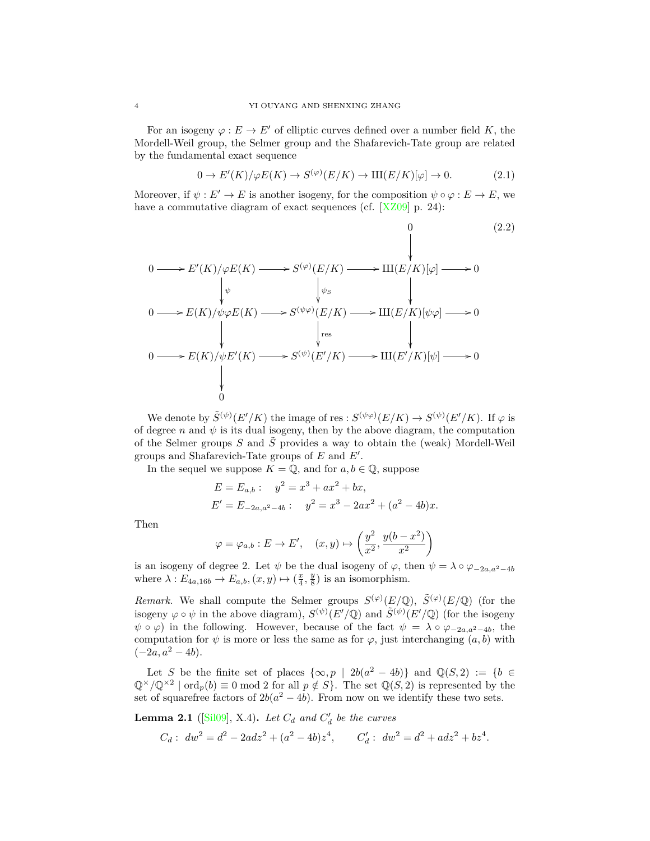For an isogeny  $\varphi : E \to E'$  of elliptic curves defined over a number field *K*, the Mordell-Weil group, the Selmer group and the Shafarevich-Tate group are related by the fundamental exact sequence

$$
0 \to E'(K)/\varphi E(K) \to S^{(\varphi)}(E/K) \to \mathrm{III}(E/K)[\varphi] \to 0. \tag{2.1}
$$

Moreover, if  $\psi : E' \to E$  is another isogeny, for the composition  $\psi \circ \varphi : E \to E$ , we have a commutative diagram of exact sequences (cf. [\[XZ09\]](#page-14-6) p. 24):

<span id="page-3-0"></span>
$$
0 \longrightarrow E'(K)/\varphi E(K) \longrightarrow S^{(\varphi)}(E/K) \longrightarrow \text{III}(E/K)[\varphi] \longrightarrow 0
$$
\n
$$
0 \longrightarrow E(K)/\psi\varphi E(K) \longrightarrow S^{(\psi\varphi)}(E/K) \longrightarrow \text{III}(E/K)[\psi\varphi] \longrightarrow 0
$$
\n
$$
0 \longrightarrow E(K)/\psi E'(K) \longrightarrow S^{(\psi\varphi)}(E'/K) \longrightarrow \text{III}(E'/K)[\psi] \longrightarrow 0
$$
\n
$$
0 \longrightarrow E(K)/\psi E'(K) \longrightarrow S^{(\psi)}(E'/K) \longrightarrow \text{III}(E'/K)[\psi] \longrightarrow 0
$$
\n
$$
\downarrow 0
$$
\n(2.2)

We denote by  $\tilde{S}^{(\psi)}(E'/K)$  the image of res :  $S^{(\psi\varphi)}(E/K) \to S^{(\psi)}(E'/K)$ . If  $\varphi$  is of degree *n* and  $\psi$  is its dual isogeny, then by the above diagram, the computation of the Selmer groups  $S$  and  $\tilde{S}$  provides a way to obtain the (weak) Mordell-Weil groups and Shafarevich-Tate groups of *E* and *E′* .

In the sequel we suppose  $K = \mathbb{Q}$ , and for  $a, b \in \mathbb{Q}$ , suppose

$$
E = E_{a,b}: \quad y^2 = x^3 + ax^2 + bx,
$$
  
\n
$$
E' = E_{-2a,a^2-4b}: \quad y^2 = x^3 - 2ax^2 + (a^2 - 4b)x.
$$

Then

$$
\varphi = \varphi_{a,b} : E \to E', \quad (x, y) \mapsto \left(\frac{y^2}{x^2}, \frac{y(b - x^2)}{x^2}\right)
$$

is an isogeny of degree 2. Let  $\psi$  be the dual isogeny of  $\varphi$ , then  $\psi = \lambda \circ \varphi_{-2a,a^2-4b}$ where  $\lambda: E_{4a,16b} \to E_{a,b}, (x, y) \mapsto (\frac{x}{4}, \frac{y}{8})$  is an isomorphism.

*Remark.* We shall compute the Selmer groups  $S^{(\varphi)}(E/\mathbb{Q})$ ,  $\tilde{S}^{(\varphi)}(E/\mathbb{Q})$  (for the isogeny  $\varphi \circ \psi$  in the above diagram),  $S^{(\psi)}(E'/\mathbb{Q})$  and  $\widetilde{S}^{(\psi)}(E'/\mathbb{Q})$  (for the isogeny  $\psi \circ \varphi$  in the following. However, because of the fact  $\psi = \lambda \circ \varphi_{-2a,a^2-4b}$ , the computation for  $\psi$  is more or less the same as for  $\varphi$ , just interchanging  $(a, b)$  with  $(-2a, a^2 - 4b).$ 

Let *S* be the finite set of places  $\{\infty, p \mid 2b(a^2 - 4b)\}\$  and  $\mathbb{Q}(S, 2) := \{b \in$  $\mathbb{Q}^{\times}/\mathbb{Q}^{\times 2}$  | ord<sub>*p*</sub>(*b*)  $\equiv 0 \mod 2$  for all  $p \notin S$ }. The set  $\mathbb{Q}(S, 2)$  is represented by the set of squarefree factors of  $2b(a^2 - 4b)$ . From now on we identify these two sets.

**Lemma 2.1** ([\[Sil09](#page-14-5)], X.4). Let  $C_d$  and  $C'_d$  be the curves

$$
C_d: \ dw^2 = d^2 - 2adz^2 + (a^2 - 4b)z^4, \qquad C'_d: \ dw^2 = d^2 + adz^2 + bz^4.
$$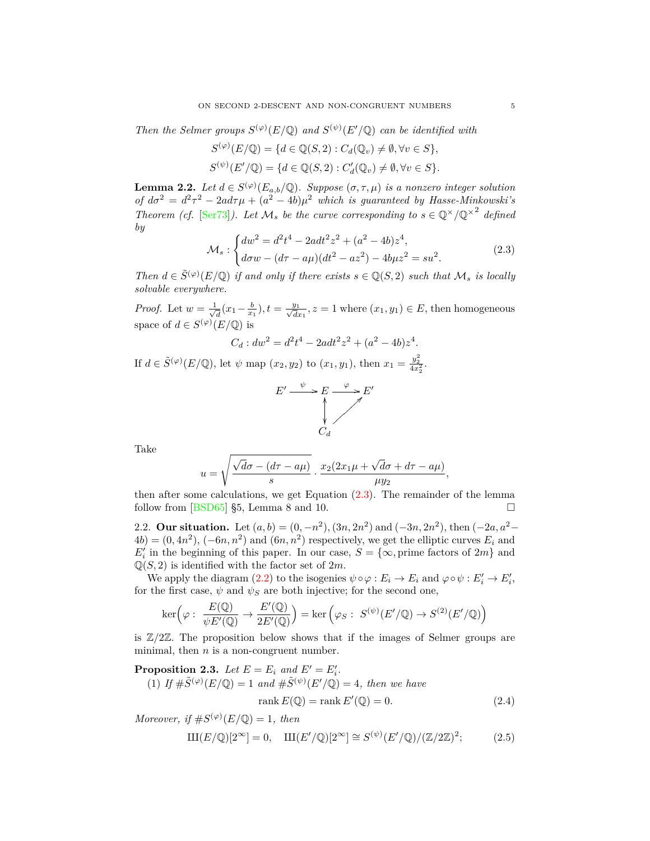*Then the Selmer groups*  $S^{(\varphi)}(E/\mathbb{Q})$  *and*  $S^{(\psi)}(E'/\mathbb{Q})$  *can be identified with* 

$$
S^{(\varphi)}(E/\mathbb{Q}) = \{d \in \mathbb{Q}(S,2) : C_d(\mathbb{Q}_v) \neq \emptyset, \forall v \in S\},
$$
  

$$
S^{(\psi)}(E'/\mathbb{Q}) = \{d \in \mathbb{Q}(S,2) : C'_d(\mathbb{Q}_v) \neq \emptyset, \forall v \in S\}.
$$

<span id="page-4-3"></span>**Lemma 2.2.** Let  $d \in S^{(\varphi)}(E_{a,b}/\mathbb{Q})$ . Suppose  $(\sigma, \tau, \mu)$  is a nonzero integer solution *of*  $d\sigma^2 = d^2\tau^2 - 2ad\tau\mu + (a^2 - 4b)\mu^2$  *which is guaranteed by Hasse-Minkowski's Theorem (cf.* [\[Ser73](#page-14-7)]). Let  $\mathcal{M}_s$  be the curve corresponding to  $s \in \mathbb{Q}^\times/\mathbb{Q}^{\times2}$  defined *by*

<span id="page-4-1"></span>
$$
\mathcal{M}_s: \begin{cases} dw^2 = d^2t^4 - 2adt^2z^2 + (a^2 - 4b)z^4, \\ d\sigma w - (d\tau - a\mu)(dt^2 - az^2) - 4b\mu z^2 = su^2. \end{cases}
$$
(2.3)

*Then*  $d \in \tilde{S}^{(\varphi)}(E/\mathbb{Q})$  *if and only if there exists*  $s \in \mathbb{Q}(S, 2)$  *such that*  $\mathcal{M}_s$  *is locally solvable everywhere.*

*Proof.* Let  $w = \frac{1}{\sqrt{2}}$  $\frac{d}{dt}$  (*x*<sub>1</sub> −  $\frac{b}{x_1}$ ), *t* =  $\frac{y_1}{\sqrt{dx_1}}$ , *z* = 1 where (*x*<sub>1</sub>*, y*<sub>1</sub>)  $\in$  *E*, then homogeneous space of  $d \in S^{(\varphi)}(E/\mathbb{Q})$  is

$$
C_d: dw^2 = d^2t^4 - 2adt^2z^2 + (a^2 - 4b)z^4.
$$

If  $d \in \tilde{S}^{(\varphi)}(E/\mathbb{Q})$ , let  $\psi$  map  $(x_2, y_2)$  to  $(x_1, y_1)$ , then  $x_1 = \frac{y_2^2}{4x_2^2}$ .



Take

$$
u = \sqrt{\frac{\sqrt{d}\sigma - (d\tau - a\mu)}{s}} \cdot \frac{x_2(2x_1\mu + \sqrt{d}\sigma + d\tau - a\mu)}{\mu y_2},
$$

then after some calculations, we get Equation ([2.3\)](#page-4-1). The remainder of the lemma follow from [[BSD65\]](#page-14-4) §5, Lemma 8 and 10.

<span id="page-4-0"></span>2.2. **Our situation.** Let  $(a, b) = (0, -n^2), (3n, 2n^2)$  and  $(-3n, 2n^2),$  then  $(-2a, a^2 (4b) = (0, 4n^2), (-6n, n^2)$  and  $(6n, n^2)$  respectively, we get the elliptic curves  $E_i$  and  $E'$ <sup>*i*</sup> in the beginning of this paper. In our case,  $S = \{\infty, \text{prime factors of } 2m\}$  and  $\mathbb{Q}(S, 2)$  is identified with the factor set of  $2m$ .

We apply the diagram  $(2.2)$  $(2.2)$  to the isogenies  $\psi \circ \varphi : E_i \to E_i$  and  $\varphi \circ \psi : E'_i \to E'_i$ , for the first case,  $\psi$  and  $\psi$ <sup>*S*</sup> are both injective; for the second one,

$$
\ker\left(\varphi\,\colon\; \frac{E(\mathbb{Q})}{\psi E'(\mathbb{Q})}\to \frac{E'(\mathbb{Q})}{2E'(\mathbb{Q})}\right)=\ker\left(\varphi_S\,\colon\; S^{(\psi)}(E'/\mathbb{Q})\to S^{(2)}(E'/\mathbb{Q})\right)
$$

is  $\mathbb{Z}/2\mathbb{Z}$ . The proposition below shows that if the images of Selmer groups are minimal, then *n* is a non-congruent number.

<span id="page-4-2"></span>**Proposition 2.3.** Let  $E = E_i$  and  $E' = E'_i$ .

(1) If  $\#\tilde{S}^{(\varphi)}(E/\mathbb{Q}) = 1$  and  $\#\tilde{S}^{(\psi)}(E'/\mathbb{Q}) = 4$ , then we have

$$
rank E(\mathbb{Q}) = rank E'(\mathbb{Q}) = 0.
$$
\n(2.4)

*Moreover, if*  $#S^{(\varphi)}(E/\mathbb{Q}) = 1$ *, then* 

$$
\mathrm{III}(E/\mathbb{Q})[2^{\infty}] = 0, \quad \mathrm{III}(E'/\mathbb{Q})[2^{\infty}] \cong S^{(\psi)}(E'/\mathbb{Q})/(\mathbb{Z}/2\mathbb{Z})^2; \tag{2.5}
$$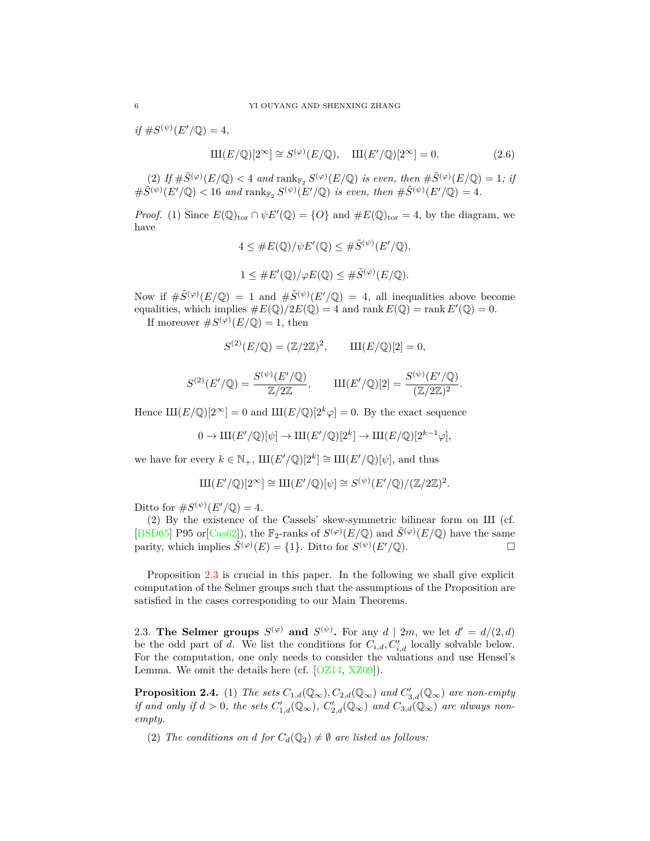$if \#S^{(\psi)}(E'/\mathbb{Q}) = 4,$ 

 $III(E/\mathbb{Q})[2^{\infty}] \cong S^{(\varphi)}(E/\mathbb{Q}), \quad III(E'/\mathbb{Q})[2^{\infty}] = 0.$  (2.6)

(2) If  $\#\tilde{S}^{(\varphi)}(E/\mathbb{Q}) < 4$  and  $\operatorname{rank}_{\mathbb{F}_2} S^{(\varphi)}(E/\mathbb{Q})$  *is even, then*  $\#\tilde{S}^{(\varphi)}(E/\mathbb{Q}) = 1$ *; if*  $\#\widetilde{S}^{(\psi)}(E'/\mathbb{Q}) < 16$  and  $\text{rank}_{\mathbb{F}_2} S^{(\psi)}(E'/\mathbb{Q})$  is even, then  $\#\widetilde{S}^{(\psi)}(E'/\mathbb{Q}) = 4$ .

*Proof.* (1) Since  $E(\mathbb{Q})_{\text{tor}} \cap \psi E'(\mathbb{Q}) = \{O\}$  and  $\#E(\mathbb{Q})_{\text{tor}} = 4$ , by the diagram, we have

$$
4 \leq \#E(\mathbb{Q})/\psi E'(\mathbb{Q}) \leq \# \tilde{S}^{(\psi)}(E'/\mathbb{Q}),
$$
  

$$
1 \leq \#E'(\mathbb{Q})/\varphi E(\mathbb{Q}) \leq \# \tilde{S}^{(\varphi)}(E/\mathbb{Q}).
$$

Now if  $\#\tilde{S}^{(\varphi)}(E/\mathbb{Q}) = 1$  and  $\#\tilde{S}^{(\psi)}(E/\mathbb{Q}) = 4$ , all inequalities above become equalities, which implies  $\#E(\mathbb{Q})/2E(\mathbb{Q}) = 4$  and rank  $E(\mathbb{Q}) = \text{rank } E'(\mathbb{Q}) = 0$ .

If moreover  $#S^{(\varphi)}(E/\mathbb{Q}) = 1$ , then

$$
S^{(2)}(E/\mathbb{Q}) = (\mathbb{Z}/2\mathbb{Z})^2
$$
,  $III(E/\mathbb{Q})[2] = 0$ ,

$$
S^{(2)}(E'/\mathbb{Q}) = \frac{S^{(\psi)}(E'/\mathbb{Q})}{\mathbb{Z}/2\mathbb{Z}}, \qquad \text{III}(E'/\mathbb{Q})[2] = \frac{S^{(\psi)}(E'/\mathbb{Q})}{(\mathbb{Z}/2\mathbb{Z})^2}.
$$

Hence  $III(E/\mathbb{Q})[2^{\infty}] = 0$  and  $III(E/\mathbb{Q})[2^{k}\varphi] = 0$ . By the exact sequence

$$
0 \to \mathrm{III}(E'/\mathbb{Q})[\psi] \to \mathrm{III}(E'/\mathbb{Q})[2^k] \to \mathrm{III}(E/\mathbb{Q})[2^{k-1}\varphi],
$$

we have for every  $k \in \mathbb{N}_+$ ,  $\text{III}(E'/\mathbb{Q})[2^k] \cong \text{III}(E'/\mathbb{Q})[\psi]$ , and thus

$$
\mathrm{III}(E'/\mathbb{Q})[2^\infty] \cong \mathrm{III}(E'/\mathbb{Q})[\psi] \cong S^{(\psi)}(E'/\mathbb{Q})/(\mathbb{Z}/2\mathbb{Z})^2.
$$

Ditto for  $\#S^{(\psi)}(E'/\mathbb{Q})=4$ .

(2) By the existence of the Cassels' skew-symmetric bilinear form on Ш (cf. [\[BSD65\]](#page-14-4) P95 or [\[Cas62](#page-14-8)]), the  $\mathbb{F}_2$ -ranks of  $S^{(\varphi)}(E/\mathbb{Q})$  and  $\tilde{S}^{(\varphi)}(E/\mathbb{Q})$  have the same parity, which implies  $\tilde{S}^{(\varphi)}(E) = \{1\}$ . Ditto for  $S^{(\psi)}(E'/\mathbb{Q})$ .

Proposition [2.3](#page-4-2) is crucial in this paper. In the following we shall give explicit computation of the Selmer groups such that the assumptions of the Proposition are satisfied in the cases corresponding to our Main Theorems.

<span id="page-5-0"></span>2.3. **The Selmer groups**  $S^{(\varphi)}$  and  $S^{(\psi)}$ . For any  $d \mid 2m$ , we let  $d' = d/(2, d)$ be the odd part of *d*. We list the conditions for  $C_{i,d}, C'_{i,d}$  locally solvable below. For the computation, one only needs to consider the valuations and use Hensel's Lemma. We omit the details here (cf.  $[OZ14, XZ09]$  $[OZ14, XZ09]$ ).

<span id="page-5-1"></span>**Proposition 2.4.** (1) *The sets*  $C_{1,d}(\mathbb{Q}_{\infty}), C_{2,d}(\mathbb{Q}_{\infty})$  *and*  $C'_{3,d}(\mathbb{Q}_{\infty})$  *are non-empty if and only if*  $d > 0$ *, the sets*  $C'_{1,d}(\mathbb{Q}_{\infty})$ *,*  $C'_{2,d}(\mathbb{Q}_{\infty})$  *and*  $C_{3,d}(\mathbb{Q}_{\infty})$  *are always nonempty.*

(2) *The conditions on d for*  $C_d(\mathbb{Q}_2) \neq \emptyset$  *are listed as follows:*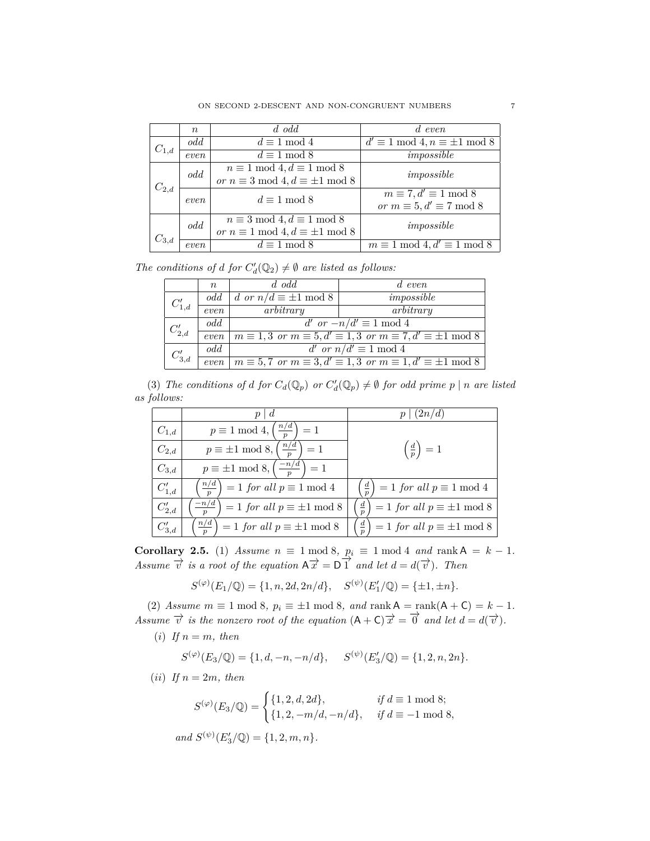|           | $\, n$ | $d$ odd                                       | $d$ even                                    |
|-----------|--------|-----------------------------------------------|---------------------------------------------|
| $C_{1,d}$ | odd    | $d \equiv 1 \mod 4$                           | $d' \equiv 1 \mod 4, n \equiv \pm 1 \mod 8$ |
|           | even   | $d \equiv 1 \mod 8$                           | impossible                                  |
|           | odd    | $n \equiv 1 \mod 4, d \equiv 1 \mod 8$        | impossible                                  |
| $C_{2,d}$ |        | or $n \equiv 3 \mod 4, d \equiv \pm 1 \mod 8$ |                                             |
|           | even   | $d \equiv 1 \mod 8$                           | $m \equiv 7, d' \equiv 1 \mod 8$            |
|           |        |                                               | or $m \equiv 5, d' \equiv 7 \mod 8$         |
|           | odd    | $n \equiv 3 \mod 4, d \equiv 1 \mod 8$        | impossible                                  |
| $C_{3,d}$ |        | or $n \equiv 1 \mod 4, d \equiv \pm 1 \mod 8$ |                                             |
|           | even   | $d \equiv 1 \mod 8$                           | $m \equiv 1 \mod 4, d' \equiv 1 \mod 8$     |

*The conditions of d for*  $C'_d(\mathbb{Q}_2) \neq \emptyset$  *are listed as follows:* 

|            | $n_{\rm c}$ | $d$ odd                        | $d$ even                                                                                               |
|------------|-------------|--------------------------------|--------------------------------------------------------------------------------------------------------|
| $C_{1,d}'$ | odd         | d or $n/d \equiv \pm 1 \mod 8$ | impossible                                                                                             |
|            | even        | arbitrary                      | arbitrary                                                                                              |
| $C_{2,d}'$ | odd         | d' or $-n/d' \equiv 1 \mod 4$  |                                                                                                        |
|            | even        |                                | $m \equiv 1, 3 \text{ or } m \equiv 5, d' \equiv 1, 3 \text{ or } m \equiv 7, d' \equiv \pm 1 \bmod 8$ |
| $C_{3,d}'$ | odd         | d' or $n/d' \equiv 1 \mod 4$   |                                                                                                        |
|            | even        |                                | $m \equiv 5,7$ or $m \equiv 3, d' \equiv 1,3$ or $m \equiv 1, d' \equiv \pm 1 \mod 8$                  |

(3) *The conditions of d for*  $C_d(\mathbb{Q}_p)$  *or*  $C'_d(\mathbb{Q}_p) \neq \emptyset$  *for odd prime*  $p \mid n$  *are listed as follows:*

|            | d                                                             | $\langle 2n/d \rangle$                                  |
|------------|---------------------------------------------------------------|---------------------------------------------------------|
| $C_{1,d}$  | $\frac{n/d}{}$<br>$p \equiv 1 \mod 4,$<br>$=1$                |                                                         |
| $C_{2,d}$  | $\frac{n/d}{}$<br>$p \equiv \pm 1 \mod 8,$<br>$=1$            | $\left(\frac{d}{p}\right)=1$                            |
| $C_{3,d}$  | $-n/d$<br>$p \equiv \pm 1 \mod 8,$<br>$=1$                    |                                                         |
| $C'_{1,d}$ | $\frac{n}{d}$<br>$=1$ for all $p\equiv 1$ mod $4$             | $= 1$ for all $p \equiv 1$ mod 4                        |
| $C'_{2,d}$ | $\frac{-n/d}{\cdot}$<br>$= 1$ for all $p \equiv \pm 1 \mod 8$ | $rac{d}{p}$<br>$= 1$ for all $p \equiv \pm 1$ mod 8     |
| $C'_{3,d}$ | $\frac{n/d}{ }$<br>$= 1$ for all $p \equiv \pm 1$ mod 8       | $\underline{d}$<br>$= 1$ for all $p \equiv \pm 1$ mod 8 |

<span id="page-6-0"></span>**Corollary 2.5.** (1) *Assume*  $n \equiv 1 \mod 8$ ,  $p_i \equiv 1 \mod 4$  *and*  $\text{rank } A = k - 1$ . *Assume*  $\vec{v}$  *is a root of the equation*  $A\vec{x} = D\vec{1}$  *and let*  $d = d(\vec{v})$ *. Then* 

$$
S^{(\varphi)}(E_1/\mathbb{Q}) = \{1, n, 2d, 2n/d\}, \quad S^{(\psi)}(E'_1/\mathbb{Q}) = \{\pm 1, \pm n\}.
$$

(2) *Assume*  $m \equiv 1 \mod 8$ ,  $p_i \equiv \pm 1 \mod 8$ , and  $\text{rank } A = \text{rank}(A + C) = k - 1$ . *Assume*  $\vec{v}$  *is the nonzero root of the equation*  $(A + C)\vec{x} = \vec{0}$  *and let*  $d = d(\vec{v})$ *.* 

(*i*) If  $n = m$ , then

 $S^{(\varphi)}(E_3/\mathbb{Q}) = \{1, d, -n, -n/d\}, \quad S^{(\psi)}(E'_3/\mathbb{Q}) = \{1, 2, n, 2n\}.$ 

(*ii*) If  $n = 2m$ , then

$$
S^{(\varphi)}(E_3/\mathbb{Q}) = \begin{cases} \{1, 2, d, 2d\}, & \text{if } d \equiv 1 \bmod 8; \\ \{1, 2, -m/d, -n/d\}, & \text{if } d \equiv -1 \bmod 8, \end{cases}
$$

 $and S^{(\psi)}(E_3'/\mathbb{Q}) = \{1, 2, m, n\}.$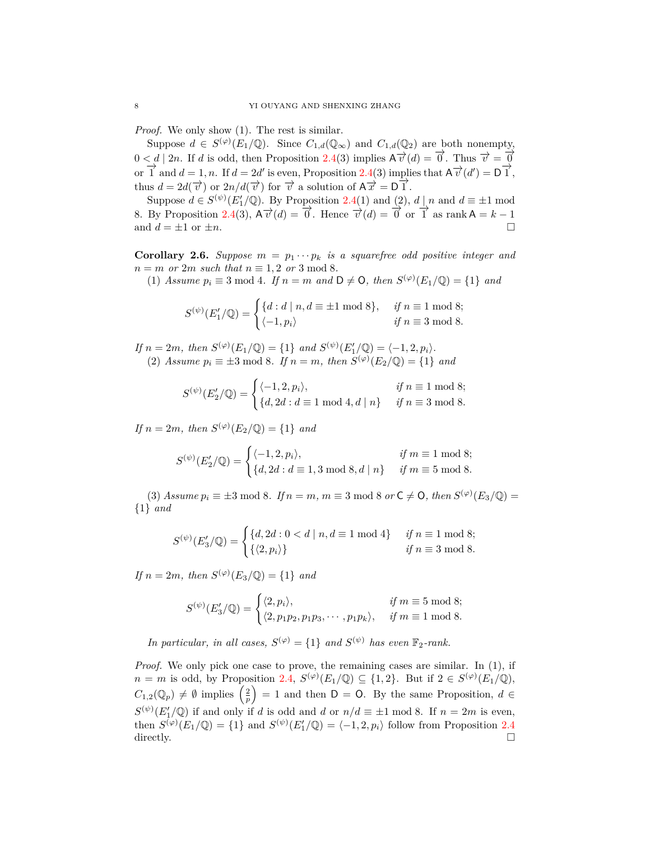*Proof.* We only show (1). The rest is similar.

Suppose  $d \in S^{(\varphi)}(E_1/\mathbb{Q})$ . Since  $C_{1,d}(\mathbb{Q}_{\infty})$  and  $C_{1,d}(\mathbb{Q}_2)$  are both nonempty,  $0 < d \mid 2n$ . If *d* is odd, then Proposition [2.4\(](#page-5-1)3) implies  $A \overrightarrow{v}(d) = 0$ . Thus  $\overrightarrow{v} = 0$ or  $\overrightarrow{1}$  and  $d = 1, n$ . If  $d = 2d'$  is even, Proposition [2.4](#page-5-1)(3) implies that  $A \overrightarrow{v}(d') = D \overrightarrow{1}$ , thus  $d = 2d(\vec{\tau})$  or  $2n/d(\vec{\tau})$  for  $\vec{\tau}$  a solution of  $A\vec{\tau} = D\vec{1}$ .

Suppose  $d \in S^{(\psi)}(E'_1/\mathbb{Q})$ . By Proposition [2.4\(](#page-5-1)1) and (2),  $d \mid n$  and  $d \equiv \pm 1 \mod$ 8. By Proposition [2.4\(](#page-5-1)3),  $A\vec{v}(d) = \vec{0}$ . Hence  $\vec{v}(d) = \vec{0}$  or  $\vec{1}$  as rank  $A = k - 1$ and  $d = \pm 1$  or  $\pm n$ .

<span id="page-7-0"></span>**Corollary 2.6.** *Suppose*  $m = p_1 \cdots p_k$  *is a squarefree odd positive integer and*  $n = m$  *or*  $2m$  *such that*  $n \equiv 1, 2$  *or*  $3 \mod 8$ .

(1) *Assume*  $p_i \equiv 3 \mod 4$ *. If*  $n = m$  *and*  $D \neq 0$ *, then*  $S^{(\varphi)}(E_1/\mathbb{Q}) = \{1\}$  *and* 

$$
S^{(\psi)}(E'_1/\mathbb{Q}) = \begin{cases} \{d: d \mid n, d \equiv \pm 1 \bmod 8\}, & \text{if } n \equiv 1 \bmod 8; \\ \langle -1, p_i \rangle & \text{if } n \equiv 3 \bmod 8. \end{cases}
$$

 $If n = 2m, then S^{(\varphi)}(E_1/\mathbb{Q}) = \{1\} and S^{(\psi)}(E'_1/\mathbb{Q}) = \{-1, 2, p_i\}.$ (2) *Assume*  $p_i \equiv \pm 3 \mod 8$ *. If*  $n = m$ *, then*  $S^{(\varphi)}(E_2/\mathbb{Q}) = \{1\}$  *and* 

$$
S^{(\psi)}(E_2'/\mathbb{Q}) = \begin{cases} \langle -1, 2, p_i \rangle, & \text{if } n \equiv 1 \text{ mod } 8; \\ \{d, 2d : d \equiv 1 \text{ mod } 4, d \mid n\} & \text{if } n \equiv 3 \text{ mod } 8. \end{cases}
$$

*If*  $n = 2m$ *, then*  $S^{(\varphi)}(E_2/\mathbb{Q}) = \{1\}$  *and* 

$$
S^{(\psi)}(E_2' / \mathbb{Q}) = \begin{cases} \langle -1, 2, p_i \rangle, & \text{if } m \equiv 1 \bmod 8; \\ \{d, 2d : d \equiv 1, 3 \bmod 8, d \mid n\} & \text{if } m \equiv 5 \bmod 8. \end{cases}
$$

(3) *Assume*  $p_i \equiv \pm 3 \mod 8$ *.* If  $n = m$ ,  $m \equiv 3 \mod 8$  or  $C \neq O$ , then  $S^{(\varphi)}(E_3/\mathbb{Q}) =$ *{*1*} and*

$$
S^{(\psi)}(E_3'/\mathbb{Q}) = \begin{cases} \{d, 2d : 0 < d \mid n, d \equiv 1 \mod 4\} & \text{if } n \equiv 1 \mod 8; \\ \{\langle 2, p_i \rangle\} & \text{if } n \equiv 3 \mod 8. \end{cases}
$$

*If*  $n = 2m$ *, then*  $S^{(\varphi)}(E_3/\mathbb{Q}) = \{1\}$  *and* 

$$
S^{(\psi)}(E_3'/\mathbb{Q}) = \begin{cases} \langle 2, p_i \rangle, & \text{if } m \equiv 5 \bmod 8; \\ \langle 2, p_1 p_2, p_1 p_3, \cdots, p_1 p_k \rangle, & \text{if } m \equiv 1 \bmod 8. \end{cases}
$$

*In particular, in all cases,*  $S^{(\varphi)} = \{1\}$  *and*  $S^{(\psi)}$  *has even*  $\mathbb{F}_2$ *-rank.* 

*Proof.* We only pick one case to prove, the remaining cases are similar. In (1), if  $n = m$  is odd, by Proposition [2.4,](#page-5-1)  $S^{(\varphi)}(E_1/\mathbb{Q}) \subseteq \{1,2\}$ . But if  $2 \in S^{(\varphi)}(E_1/\mathbb{Q})$ ,  $C_{1,2}(\mathbb{Q}_p) \neq \emptyset$  implies  $\left(\frac{2}{p}\right)$  $= 1$  and then  $D = 0$ . By the same Proposition,  $d \in$  $S^{(\psi)}(E'_1/\mathbb{Q})$  if and only if *d* is odd and *d* or  $n/d \equiv \pm 1 \mod 8$ . If  $n = 2m$  is even, then  $S^{(\varphi)}(E_1/\mathbb{Q}) = \{1\}$  and  $S^{(\psi)}(E'_1/\mathbb{Q}) = \{-1, 2, p_i\}$  follow from Proposition [2.4](#page-5-1) directly.  $\Box$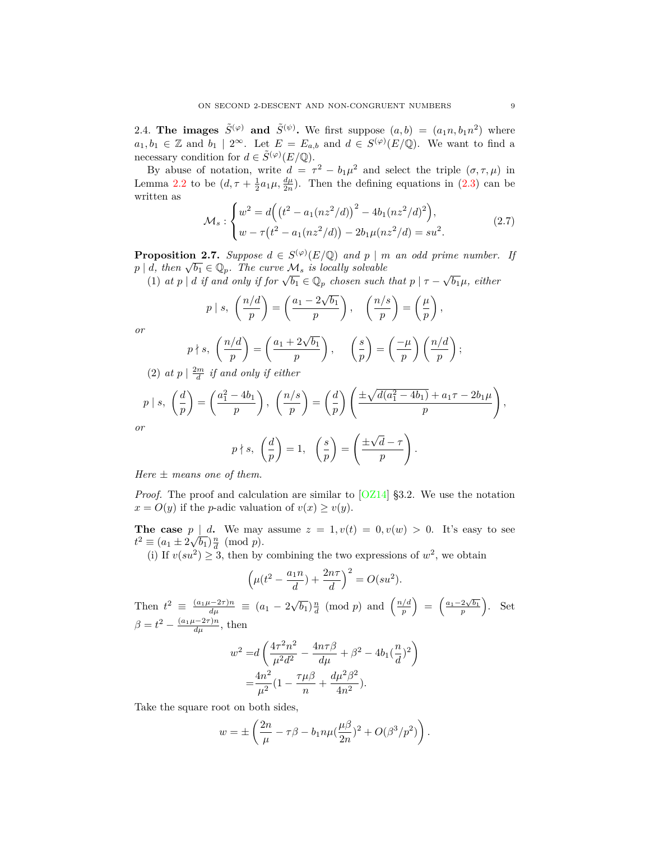<span id="page-8-0"></span>2.4. **The images**  $\tilde{S}^{(\varphi)}$  and  $\tilde{S}^{(\psi)}$ . We first suppose  $(a, b) = (a_1 n, b_1 n^2)$  where  $a_1, b_1 \in \mathbb{Z}$  and  $b_1 \mid 2^{\infty}$ . Let  $E = E_{a,b}$  and  $d \in S^{(\varphi)}(E/\mathbb{Q})$ . We want to find a necessary condition for  $d \in \tilde{S}^{(\varphi)}(E/\mathbb{Q})$ .

By abuse of notation, write  $d = \tau^2 - b_1 \mu^2$  and select the triple  $(\sigma, \tau, \mu)$  in Lemma [2.2](#page-4-3) to be  $(d, \tau + \frac{1}{2}a_1\mu, \frac{d\mu}{2n})$ . Then the defining equations in [\(2.3](#page-4-1)) can be written as

$$
\mathcal{M}_s: \begin{cases} w^2 = d\Big( \big(t^2 - a_1(nz^2/d)\big)^2 - 4b_1(nz^2/d)^2 \Big), \\ w - \tau \big(t^2 - a_1(nz^2/d)\big) - 2b_1\mu(nz^2/d) = su^2. \end{cases} \tag{2.7}
$$

<span id="page-8-1"></span>**Proposition 2.7.** *Suppose*  $d \in S^{(\varphi)}(E/\mathbb{Q})$  *and*  $p \mid m$  *an odd prime number. If p*  $|d, \text{ then } \sqrt{b_1} \in \mathbb{Q}_p$ . The curve  $\mathcal{M}_s$  is locally solvable

(1) at  $p \mid d$  if and only if for  $\sqrt{b_1} \in \mathbb{Q}_p$  chosen such that  $p \mid \tau - \sqrt{b_1}\mu$ , either

$$
p \mid s, \left(\frac{n/d}{p}\right) = \left(\frac{a_1 - 2\sqrt{b_1}}{p}\right), \left(\frac{n/s}{p}\right) = \left(\frac{\mu}{p}\right),
$$

*or*

$$
p \nmid s, \ \left(\frac{n/d}{p}\right) = \left(\frac{a_1 + 2\sqrt{b_1}}{p}\right), \quad \left(\frac{s}{p}\right) = \left(\frac{-\mu}{p}\right)\left(\frac{n/d}{p}\right);
$$

(2)  $at\ p \mid \frac{2m}{d}$  *if and only if either* 

$$
p \mid s, \quad \left(\frac{d}{p}\right) = \left(\frac{a_1^2 - 4b_1}{p}\right), \quad \left(\frac{n/s}{p}\right) = \left(\frac{d}{p}\right) \left(\frac{\pm \sqrt{d(a_1^2 - 4b_1)} + a_1\tau - 2b_1\mu}{p}\right),
$$

*or*

$$
p \nmid s, \left(\frac{d}{p}\right) = 1, \left(\frac{s}{p}\right) = \left(\frac{\pm \sqrt{d} - \tau}{p}\right).
$$

*Here ± means one of them.*

*Proof.* The proof and calculation are similar to  $[OZ14]$  $[OZ14]$  $[OZ14]$  §3.2. We use the notation  $x = O(y)$  if the *p*-adic valuation of  $v(x) \geq v(y)$ .

**The case**  $p \mid d$ . We may assume  $z = 1, v(t) = 0, v(w) > 0$ . It's easy to see  $t^2 \equiv (a_1 \pm 2\sqrt{b_1})\frac{n}{d} \pmod{p}.$ 

(i) If  $v(su^2) \geq 3$ , then by combining the two expressions of  $w^2$ , we obtain

$$
\left(\mu(t^2 - \frac{a_1 n}{d}) + \frac{2n\tau}{d}\right)^2 = O(su^2).
$$

Then  $t^2 \equiv \frac{(a_1\mu - 2\tau)n}{d\mu} \equiv (a_1 - 2\sqrt{b_1})\frac{n}{d} \pmod{p}$  and  $\left(\frac{n/d}{p}\right)$ *p*  $\left( \frac{a_1 - 2\sqrt{b_1}}{p} \right)$ ) . Set  $\beta = t^2 - \frac{(a_1\mu - 2\tau)n}{d\mu}$ , then

$$
w^{2} = d\left(\frac{4\tau^{2}n^{2}}{\mu^{2}d^{2}} - \frac{4n\tau\beta}{d\mu} + \beta^{2} - 4b_{1}(\frac{n}{d})^{2}\right)
$$

$$
= \frac{4n^{2}}{\mu^{2}}(1 - \frac{\tau\mu\beta}{n} + \frac{d\mu^{2}\beta^{2}}{4n^{2}}).
$$

Take the square root on both sides,

$$
w=\pm\left(\frac{2n}{\mu}-\tau\beta-b_1n\mu(\frac{\mu\beta}{2n})^2+O(\beta^3/p^2)\right).
$$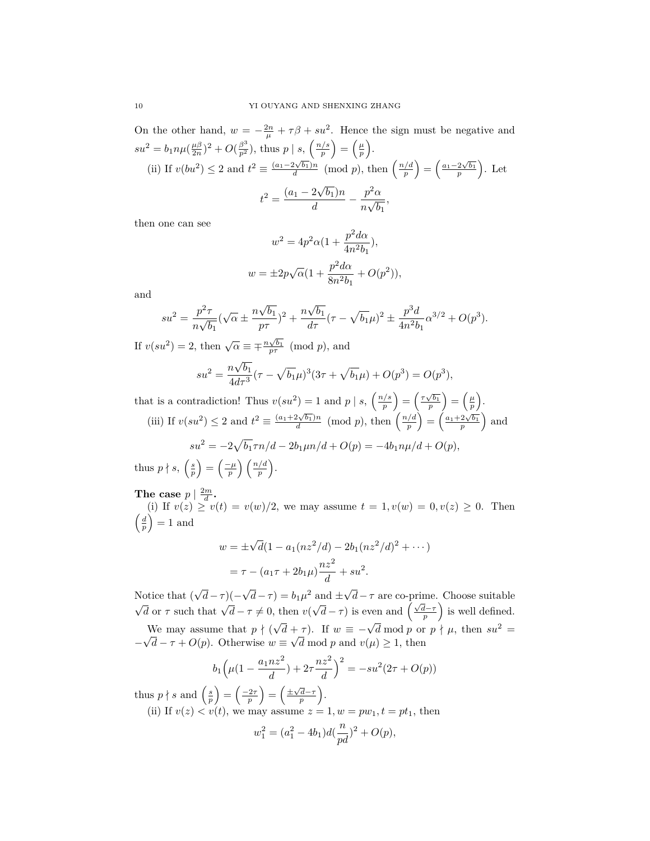On the other hand,  $w = -\frac{2n}{\mu} + \tau \beta + su^2$ . Hence the sign must be negative and  $su^2 = b_1 n \mu (\frac{\mu \beta}{2n})^2 + O(\frac{\beta^3}{p^2})$ , thus *p* | *s*,  $\left(\frac{n/s}{p}\right)$ *p*  $=\left(\frac{\mu}{p}\right)$ ) . (ii) If  $v(bu^2) \leq 2$  and  $t^2 \equiv \frac{(a_1 - 2\sqrt{b_1})n}{d} \pmod{p}$ , then  $\left(\frac{n/d}{p}\right)$ *p*  $\left( \frac{a_1 - 2\sqrt{b_1}}{p} \right)$ ) . Let  $t^2 = \frac{(a_1 - 2\sqrt{b_1})n}{l}$  $rac{2\sqrt{b_1}n}{d} - \frac{p^2\alpha}{n\sqrt{b}}$  $\frac{P}{n\sqrt{b_1}}$ 

then one can see

$$
w^{2} = 4p^{2}\alpha(1 + \frac{p^{2}d\alpha}{4n^{2}b_{1}}),
$$
  

$$
w = \pm 2p\sqrt{\alpha}(1 + \frac{p^{2}d\alpha}{8n^{2}b_{1}} + O(p^{2})),
$$

and

$$
su^{2} = \frac{p^{2}\tau}{n\sqrt{b_{1}}}(\sqrt{\alpha} \pm \frac{n\sqrt{b_{1}}}{p\tau})^{2} + \frac{n\sqrt{b_{1}}}{d\tau}(\tau - \sqrt{b_{1}}\mu)^{2} \pm \frac{p^{3}d}{4n^{2}b_{1}}\alpha^{3/2} + O(p^{3}).
$$

If  $v(su^2) = 2$ , then  $\sqrt{\alpha} \equiv \pm \frac{n\sqrt{b_1}}{p\tau} \pmod{p}$ , and

$$
su^{2} = \frac{n\sqrt{b_1}}{4d\tau^{3}}(\tau - \sqrt{b_1}\mu)^{3}(3\tau + \sqrt{b_1}\mu) + O(p^{3}) = O(p^{3}),
$$

that is a contradiction! Thus  $v(su^2) = 1$  and  $p | s, \left(\frac{n/s}{n}\right)$ *p*  $\left( \frac{\tau \sqrt{b_1}}{p} \right)$  $=\left(\frac{\mu}{p}\right)$ ) . (iii) If  $v(su^2) \leq 2$  and  $t^2 \equiv \frac{(a_1+2\sqrt{b_1})n}{d} \pmod{p}$ , then  $\left(\frac{n/d}{p}\right)$ *p*  $\left( \frac{a_1 + 2\sqrt{b_1}}{p} \right)$ ) and

$$
su^2 = -2\sqrt{b_1}\tau n/d - 2b_1\mu n/d + O(p) = -4b_1n\mu/d + O(p),
$$
  

$$
\left(\frac{s}{n}\right) = \left(\frac{-\mu}{n}\right)\left(\frac{n/d}{n}\right).
$$

thus  $p \nmid s, \left(\frac{s}{p}\right)$  $=\left(\frac{-\mu}{p}\right)$ *p*

The case  $p \mid \frac{2m}{d}$ .

(i) If  $v(z) \ge v(t) = v(w)/2$ , we may assume  $t = 1, v(w) = 0, v(z) \ge 0$ . Then  $\left(\frac{d}{p}\right)$  $\big) = 1$  and

$$
w = \pm \sqrt{d}(1 - a_1(nz^2/d) - 2b_1(nz^2/d)^2 + \cdots)
$$
  
=  $\tau - (a_1\tau + 2b_1\mu)\frac{nz^2}{d} + su^2$ .

Notice that ( *√ d−τ* )(*− √*  $\overline{d}$  *−*  $\tau$ ) = *b*<sub>1</sub> $\mu$ <sup>2</sup> and  $\pm \sqrt{d}$ Notice that  $(\sqrt{d}-\tau)(-\sqrt{d}-\tau) = b_1\mu^2$  and  $\pm\sqrt{d}-\tau$  are co-prime. Choose suitable  $\sqrt{d}$  or  $\tau$  such that  $\sqrt{d}-\tau \neq 0$ , then  $v(\sqrt{d}-\tau)$  is even and  $\left(\frac{\sqrt{d}-\tau}{n}\right)$  is well defined.  $\sqrt{d} - \tau$ ) is even and  $\left(\frac{\sqrt{d}-\tau}{p}\right)$ ) is well defined. We may assume that  $p \nmid ($ We may assume that  $p \nmid (\sqrt{d} + \tau)$ . If  $w \equiv -\sqrt{d} \mod p$  or  $p \nmid \mu$ , then  $su^2 = \sqrt{d}$  $-\sqrt{d} - \tau + O(p)$ . Otherwise  $w \equiv \sqrt{d} \mod p$  and  $v(\mu) \geq 1$ , then

$$
b_1\left(\mu(1-\frac{a_1nz^2}{d})+2\tau\frac{nz^2}{d}\right)^2=-su^2(2\tau+O(p))
$$

thus  $p \nmid s$  and  $\left(\frac{s}{p}\right)$  $=$  $\left(\frac{-2\tau}{p}\right)$  $\left( \frac{\pm \sqrt{d}-\tau}{p} \right)$ ) .

(ii) If  $v(z) < v(t)$ , we may assume  $z = 1, w = pw_1, t = pt_1$ , then

$$
w_1^2 = (a_1^2 - 4b_1)d(\frac{n}{pd})^2 + O(p),
$$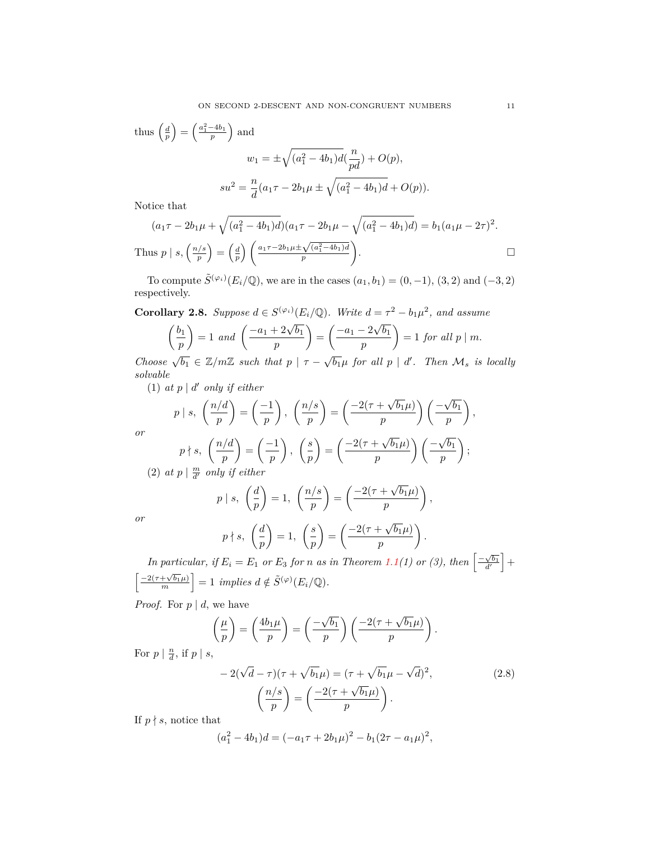thus 
$$
\left(\frac{d}{p}\right) = \left(\frac{a_1^2 - 4b_1}{p}\right)
$$
 and  
\n
$$
w_1 = \pm \sqrt{(a_1^2 - 4b_1)d(\frac{n}{pd}) + O(p)},
$$
\n
$$
su^2 = \frac{n}{d}(a_1\tau - 2b_1\mu \pm \sqrt{(a_1^2 - 4b_1)d} + O(p)).
$$
\nNotice that

Notice that

$$
(a_1\tau - 2b_1\mu + \sqrt{(a_1^2 - 4b_1)d})(a_1\tau - 2b_1\mu - \sqrt{(a_1^2 - 4b_1)d}) = b_1(a_1\mu - 2\tau)^2.
$$
  
Thus  $p \mid s, \left(\frac{n/s}{p}\right) = \left(\frac{d}{p}\right) \left(\frac{a_1\tau - 2b_1\mu \pm \sqrt{(a_1^2 - 4b_1)d}}{p}\right).$ 

To compute  $\tilde{S}^{(\varphi_i)}(E_i/\mathbb{Q})$ , we are in the cases  $(a_1, b_1) = (0, -1), (3, 2)$  and  $(-3, 2)$ respectively.

<span id="page-10-0"></span>**Corollary 2.8.** *Suppose*  $d \in S^{(\varphi_i)}(E_i/\mathbb{Q})$ *. Write*  $d = \tau^2 - b_1\mu^2$ *, and assume √*

$$
\left(\frac{b_1}{p}\right) = 1 \text{ and } \left(\frac{-a_1 + 2\sqrt{b_1}}{p}\right) = \left(\frac{-a_1 - 2\sqrt{b_1}}{p}\right) = 1 \text{ for all } p \mid m.
$$

Choose  $\sqrt{b_1} \in \mathbb{Z}/m\mathbb{Z}$  such that  $p \mid \tau - \sqrt{b_1}\mu$  for all  $p \mid d'$ . Then  $\mathcal{M}_s$  is locally *solvable*

 $(1)$  *at*  $p \mid d'$  *only if either* 

$$
p \mid s, \ \left(\frac{n/d}{p}\right) = \left(\frac{-1}{p}\right), \ \left(\frac{n/s}{p}\right) = \left(\frac{-2(\tau + \sqrt{b_1}\mu)}{p}\right)\left(\frac{-\sqrt{b_1}}{p}\right),
$$

$$
p \nmid s, \ \left(\frac{n/d}{p}\right) = \left(\frac{-1}{p}\right), \ \left(\frac{s}{p}\right) = \left(\frac{-2(\tau + \sqrt{b_1}\mu)}{p}\right)\left(\frac{-\sqrt{b_1}}{p}\right);
$$
at n | m, only if either

(2) at 
$$
p \mid \frac{m}{d'}
$$
 only if either

$$
p \mid s, \ \left(\frac{d}{p}\right) = 1, \ \left(\frac{n/s}{p}\right) = \left(\frac{-2(\tau + \sqrt{b_1}\mu)}{p}\right),
$$
\n
$$
\left(\frac{d}{p}\right) = \frac{1}{2} \left(\frac{s}{p}\right) = \left(\frac{-2(\tau + \sqrt{b_1}\mu)}{p}\right),
$$

*or*

*or*

$$
p \nmid s, \quad \left(\frac{d}{p}\right) = 1, \quad \left(\frac{s}{p}\right) = \left(\frac{-2(\tau + \sqrt{b_1}\mu)}{p}\right).
$$

*In particular, if*  $E_i = E_1$  *or*  $E_3$  *for n as in Theorem* [1.1](#page-1-0)(1) *or* (3), *then*  $\left[ \frac{-\sqrt{b_1}}{d'} \right]$  $\Big] +$  $\left[ \frac{-2(\tau + \sqrt{b_1}\mu)}{m} \right]$  $\left] = 1$  *implies*  $d \notin \tilde{S}^{(\varphi)}(E_i/\mathbb{Q})$ .

*Proof.* For  $p \mid d$ , we have

$$
\left(\frac{\mu}{p}\right) = \left(\frac{4b_1\mu}{p}\right) = \left(\frac{-\sqrt{b_1}}{p}\right)\left(\frac{-2(\tau + \sqrt{b_1}\mu)}{p}\right).
$$

For  $p \mid \frac{n}{d}$ , if  $p \mid s$ ,

$$
-2(\sqrt{d}-\tau)(\tau+\sqrt{b_1}\mu)=(\tau+\sqrt{b_1}\mu-\sqrt{d})^2,
$$
  

$$
\left(\frac{n/s}{p}\right)=\left(\frac{-2(\tau+\sqrt{b_1}\mu)}{p}\right).
$$
\n(2.8)

If  $p \nmid s$ , notice that

$$
(a_1^2 - 4b_1)d = (-a_1\tau + 2b_1\mu)^2 - b_1(2\tau - a_1\mu)^2,
$$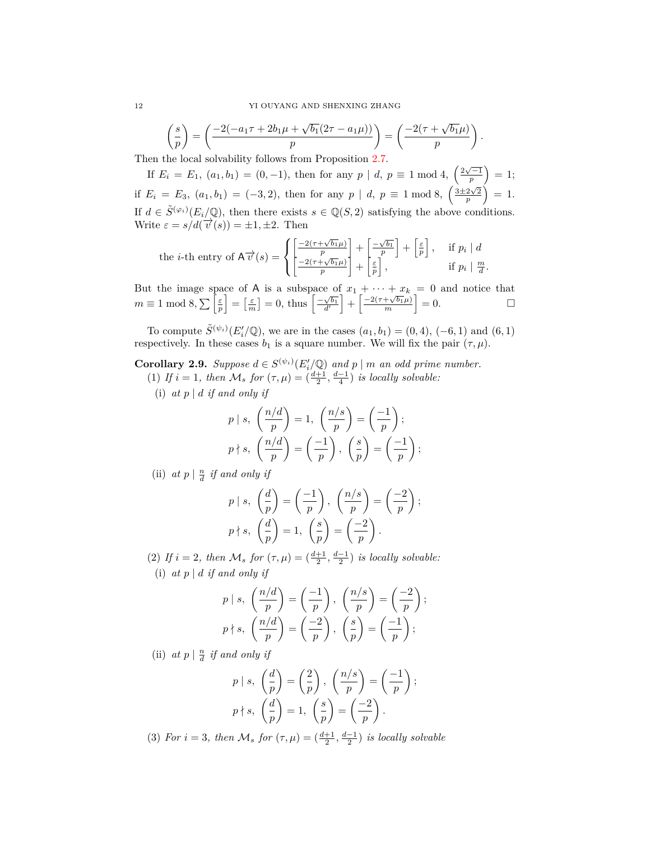$$
\left(\frac{s}{p}\right) = \left(\frac{-2(-a_1\tau + 2b_1\mu + \sqrt{b_1}(2\tau - a_1\mu))}{p}\right) = \left(\frac{-2(\tau + \sqrt{b_1}\mu)}{p}\right)
$$

*.*

Then the local solvability follows from Proposition [2.7](#page-8-1).

If  $E_i = E_1$ ,  $(a_1, b_1) = (0, -1)$ , then for any  $p | d, p \equiv 1 \mod 4$ ,  $\left(\frac{2\sqrt{-1}}{p}\right)$  $= 1;$ if  $E_i = E_3$ ,  $(a_1, b_1) = (-3, 2)$ , then for any  $p | d, p \equiv 1 \mod 8$ ,  $\left(\frac{3 \pm 2\sqrt{2}}{p}\right)$  $\hat{ }$  = 1. If  $d \in \tilde{S}^{(\varphi_i)}(E_i/\mathbb{Q})$ , then there exists  $s \in \mathbb{Q}(S, 2)$  satisfying the above conditions. Write  $\varepsilon = s/d(\vec{v}(s)) = \pm 1, \pm 2$ . Then

the *i*-th entry of 
$$
A \overrightarrow{v}(s) = \left\{ \begin{bmatrix} \frac{-2(\tau + \sqrt{b_1}\mu)}{p} \\ \frac{-2(\tau + \sqrt{b_1}\mu)}{p} \end{bmatrix} + \begin{bmatrix} \frac{-\sqrt{b_1}}{p} \\ \frac{\varepsilon}{p} \end{bmatrix}, \quad \text{if } p_i \mid d
$$
  
if  $p_i \mid \frac{m}{d}$ .

But the image space of A is a subspace of  $x_1 + \cdots + x_k = 0$  and notice that  $m \equiv 1 \mod 8, \sum_{p} \left[\frac{\varepsilon}{p}\right]$  $\left[ \frac{\varepsilon}{m} \right] = 0$ , thus  $\left[ \frac{-\sqrt{b_1}}{d'} \right]$  $+\left[\frac{-2(\tau+\sqrt{b_1}\mu)}{m}\right]$  $= 0.$ 

To compute  $\tilde{S}^{(\psi_i)}(E'_i/\mathbb{Q})$ , we are in the cases  $(a_1, b_1) = (0, 4)$ ,  $(-6, 1)$  and  $(6, 1)$ respectively. In these cases  $b_1$  is a square number. We will fix the pair  $(\tau, \mu)$ .

<span id="page-11-0"></span>**Corollary 2.9.** *Suppose*  $d \in S^{(\psi_i)}(E'_i/\mathbb{Q})$  *and*  $p \mid m$  *an odd prime number.* (1) *If*  $i = 1$ *, then*  $M_s$  *for*  $(\tau, \mu) = (\frac{d+1}{2}, \frac{d-1}{4})$  *is locally solvable:* 

(i)  $at\ p \mid d\ if\ and\ only\ if$ 

$$
p | s, \left(\frac{n/d}{p}\right) = 1, \left(\frac{n/s}{p}\right) = \left(\frac{-1}{p}\right);
$$
  

$$
p \nmid s, \left(\frac{n/d}{p}\right) = \left(\frac{-1}{p}\right), \left(\frac{s}{p}\right) = \left(\frac{-1}{p}\right);
$$

(ii)  $at\ p \mid \frac{n}{d}$  *if and only if* 

$$
p | s, \left(\frac{d}{p}\right) = \left(\frac{-1}{p}\right), \left(\frac{n/s}{p}\right) = \left(\frac{-2}{p}\right);
$$
  

$$
p \nmid s, \left(\frac{d}{p}\right) = 1, \left(\frac{s}{p}\right) = \left(\frac{-2}{p}\right).
$$

(2) *If*  $i = 2$ , then  $M_s$  for  $(\tau, \mu) = (\frac{d+1}{2}, \frac{d-1}{2})$  *is locally solvable:* (i)  $at\ p \mid d\ if\ and\ only\ if$ 

$$
p | s, \left(\frac{n/d}{p}\right) = \left(\frac{-1}{p}\right), \left(\frac{n/s}{p}\right) = \left(\frac{-2}{p}\right);
$$
  

$$
p \nmid s, \left(\frac{n/d}{p}\right) = \left(\frac{-2}{p}\right), \left(\frac{s}{p}\right) = \left(\frac{-1}{p}\right);
$$

(ii)  $at\ p \mid \frac{n}{d}$  *if and only if* 

$$
p | s, \left(\frac{d}{p}\right) = \left(\frac{2}{p}\right), \left(\frac{n/s}{p}\right) = \left(\frac{-1}{p}\right);
$$
  

$$
p \nmid s, \left(\frac{d}{p}\right) = 1, \left(\frac{s}{p}\right) = \left(\frac{-2}{p}\right).
$$

(3) *For*  $i = 3$ *, then*  $M_s$  *for*  $(\tau, \mu) = (\frac{d+1}{2}, \frac{d-1}{2})$  *is locally solvable*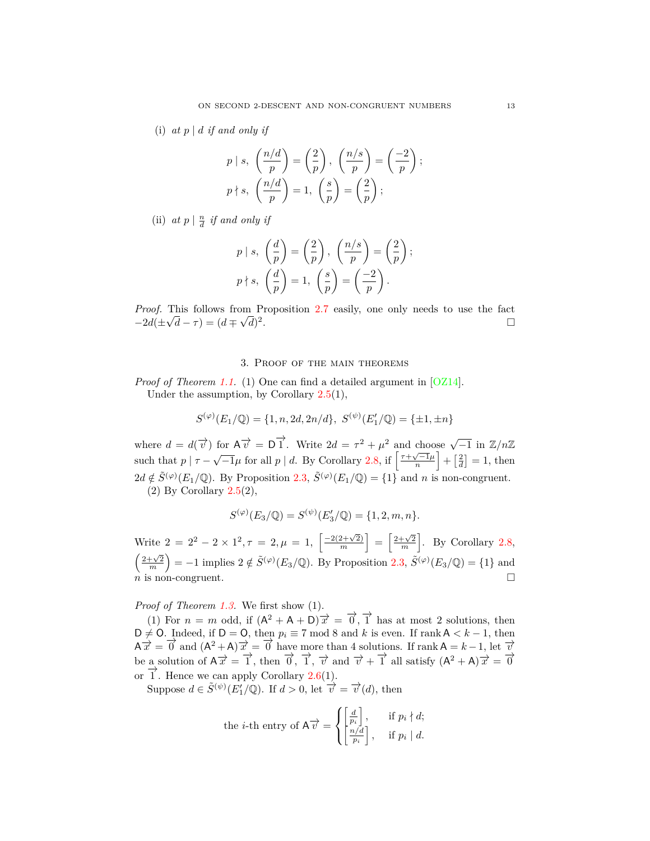(i)  $at\ p\mid d\ if\ and\ only\ if$ 

$$
p | s, \left(\frac{n/d}{p}\right) = \left(\frac{2}{p}\right), \left(\frac{n/s}{p}\right) = \left(\frac{-2}{p}\right);
$$
  

$$
p \nmid s, \left(\frac{n/d}{p}\right) = 1, \left(\frac{s}{p}\right) = \left(\frac{2}{p}\right);
$$

(ii)  $at\ p \mid \frac{n}{d}$  *if and only if* 

$$
p | s, \left(\frac{d}{p}\right) = \left(\frac{2}{p}\right), \left(\frac{n/s}{p}\right) = \left(\frac{2}{p}\right);
$$
  

$$
p \nmid s, \left(\frac{d}{p}\right) = 1, \left(\frac{s}{p}\right) = \left(\frac{-2}{p}\right).
$$

*Proof.* This follows from Proposition [2.7](#page-8-1) easily, one only needs to use the fact  $-2d(\pm \sqrt{d} - \tau) = (d \mp \sqrt{d})^2$ . В последните последните последните последните последните последните последните последните последните последн<br>В последните последните последните последните последните последните последните последните последните последнит

## 3. Proof of the main theorems

<span id="page-12-0"></span>*Proof of Theorem [1.1.](#page-1-0)*(1) One can find a detailed argument in [[OZ14\]](#page-14-1). Under the assumption, by Corollary [2.5](#page-6-0)(1),

$$
S^{(\varphi)}(E_1/\mathbb{Q}) = \{1, n, 2d, 2n/d\}, \ S^{(\psi)}(E'_1/\mathbb{Q}) = \{\pm 1, \pm n\}
$$

where  $d = d(\vec{v})$  for  $A\vec{v} = D\vec{1}$ . Write  $2d = \tau^2 + \mu^2$  and choose  $\sqrt{-1}$  in  $\mathbb{Z}/n\mathbb{Z}$ such that  $p | \tau - \sqrt{-1}\mu$  for all  $p | d$ . By Corollary [2.8,](#page-10-0) if  $\left[\frac{\tau + \sqrt{-1}\mu}{n}\right]$  $\left] + \left[ \frac{2}{d} \right] = 1$ , then  $2d \notin \tilde{S}^{(\varphi)}(E_1/\mathbb{Q})$ . By Proposition [2.3](#page-4-2),  $\tilde{S}^{(\varphi)}(E_1/\mathbb{Q}) = \{1\}$  and *n* is non-congruent. (2) By Corollary  $2.5(2)$  $2.5(2)$ ,

$$
S^{(\varphi)}(E_3/\mathbb{Q}) = S^{(\psi)}(E'_3/\mathbb{Q}) = \{1, 2, m, n\}.
$$

Write  $2 = 2^2 - 2 \times 1^2$ ,  $\tau = 2$ ,  $\mu = 1$ ,  $\left[\frac{-2(2+\sqrt{2})}{m}\right]$ *m*  $\Big] = \Big[\frac{2+\sqrt{2}}{m}\Big]$ ] . By Corollary [2.8,](#page-10-0)  $\left(\frac{2+\sqrt{2}}{m}\right)$  $=$  −1 implies 2  $\notin \tilde{S}^{(\varphi)}(E_3/\mathbb{Q})$ . By Proposition [2.3](#page-4-2),  $\tilde{S}^{(\varphi)}(E_3/\mathbb{Q}) = \{1\}$  and  $\overline{n}$  is non-congruent.

*Proof of Theorem [1.3.](#page-2-2)* We first show (1).

(1) For  $n = m$  odd, if  $(A^2 + A + D) \overrightarrow{x} = \overrightarrow{0}$ ,  $\overrightarrow{1}$  has at most 2 solutions, then D  $\neq$  O. Indeed, if D = O, then  $p_i$  ≡ 7 mod 8 and k is even. If rankA < k − 1, then  $\overrightarrow{A} \cdot \overrightarrow{x} = \overrightarrow{0}$  and  $(A^2 + A) \cdot \overrightarrow{x} = \overrightarrow{0}$  have more than 4 solutions. If rank  $A = k - 1$ , let  $\overrightarrow{v}$ be a solution of  $A\overrightarrow{x} = \overrightarrow{1}$ , then  $\overrightarrow{0}$ ,  $\overrightarrow{1}$ ,  $\overrightarrow{v}$  and  $\overrightarrow{v} + \overrightarrow{1}$  all satisfy  $(A^2 + A)\overrightarrow{x} = \overrightarrow{0}$ or <u>**<sup>→</sup></u>** . Hence we can apply Corollary [2.6\(](#page-7-0)1).</u>

Suppose  $d \in \tilde{S}^{(\psi)}(E'_1/\mathbb{Q})$ . If  $d > 0$ , let  $\overrightarrow{v} = \overrightarrow{v}(d)$ , then

the *i*-th entry of 
$$
A \overrightarrow{v}
$$
 =  $\left\{ \begin{bmatrix} \frac{d}{p_i} \\ \frac{n}{d} \\ \frac{n}{p_i} \end{bmatrix}, \quad \text{if } p_i \nmid d;$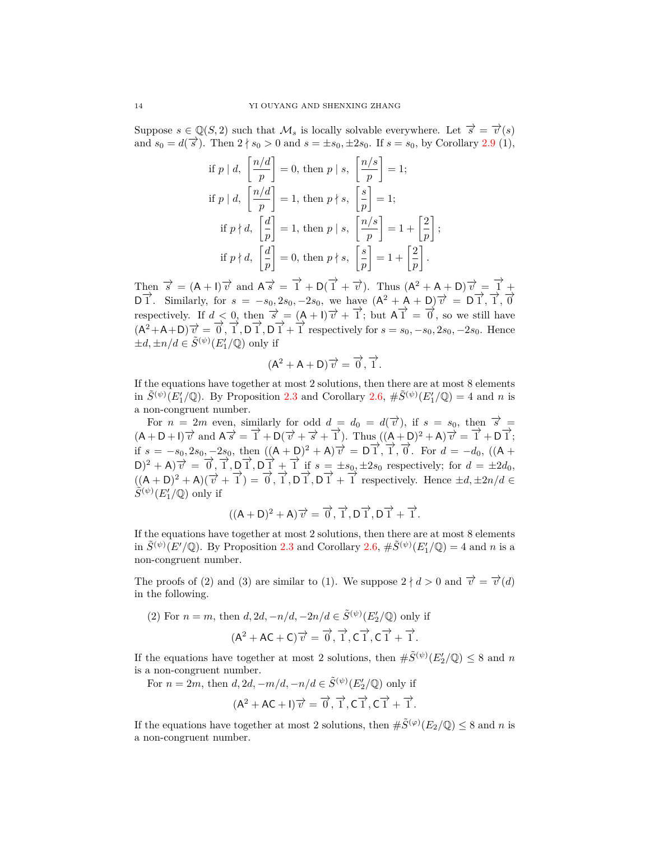Suppose  $s \in \mathbb{Q}(S, 2)$  such that  $\mathcal{M}_s$  is locally solvable everywhere. Let  $\vec{s} = \vec{v}(s)$ and  $s_0 = d(\vec{s})$ . Then  $2 \nmid s_0 > 0$  and  $s = \pm s_0, \pm 2s_0$ . If  $s = s_0$ , by Corollary [2.9](#page-11-0) (1),

if 
$$
p \mid d
$$
,  $\left[\frac{n/d}{p}\right] = 0$ , then  $p \mid s$ ,  $\left[\frac{n/s}{p}\right] = 1$ ;  
\nif  $p \mid d$ ,  $\left[\frac{n/d}{p}\right] = 1$ , then  $p \nmid s$ ,  $\left[\frac{s}{p}\right] = 1$ ;  
\nif  $p \nmid d$ ,  $\left[\frac{d}{p}\right] = 1$ , then  $p \mid s$ ,  $\left[\frac{n/s}{p}\right] = 1 + \left[\frac{2}{p}\right]$ ;  
\nif  $p \nmid d$ ,  $\left[\frac{d}{p}\right] = 0$ , then  $p \nmid s$ ,  $\left[\frac{s}{p}\right] = 1 + \left[\frac{2}{p}\right]$ .

Then  $\vec{\sigma} = (A + I)\vec{\tau}$  and  $A\vec{\sigma} = \vec{1} + D(\vec{1} + \vec{\tau})$ . Thus  $(A^2 + A + D)\vec{\tau} = \vec{1} + D(D^2 + D^2)$  $D\vec{1}$ . Similarly, for  $s = -s_0, 2s_0, -2s_0$ , we have  $(A^2 + A + D)\vec{v} = D\vec{1}, \vec{1}, \vec{0}$ respectively. If  $d < 0$ , then  $\vec{s} = (A + I)\vec{v} + \vec{1}$ ; but  $A\vec{1} = \vec{0}$ , so we still have  $(A^2 + A + D)\overrightarrow{v} = \overrightarrow{0}, \overrightarrow{1}, \overrightarrow{D}\overrightarrow{1} + \overrightarrow{1}$  respectively for  $s = s_0, -s_0, 2s_0, -2s_0$ . Hence  $\pm d, \pm n/d \in \tilde{S}^{(\psi)}(E'_1/\mathbb{Q})$  only if

$$
(\mathsf{A}^2 + \mathsf{A} + \mathsf{D})\overrightarrow{v} = \overrightarrow{0}, \overrightarrow{1}.
$$

If the equations have together at most 2 solutions, then there are at most 8 elements in  $\tilde{S}^{(\psi)}(E'_1/\mathbb{Q})$ . By Proposition [2.3](#page-4-2) and Corollary [2.6,](#page-7-0)  $\#\tilde{S}^{(\psi)}(E'_1/\mathbb{Q}) = 4$  and *n* is a non-congruent number.

For  $n = 2m$  even, similarly for odd  $d = d_0 = d(\vec{v})$ , if  $s = s_0$ , then  $\vec{s} =$  $(A + D + I)\overrightarrow{v}$  and  $A\overrightarrow{s} = \overrightarrow{1} + D(\overrightarrow{v} + \overrightarrow{s} + \overrightarrow{1})$ . Thus  $((A + D)^2 + A)\overrightarrow{v} = \overrightarrow{1} + D\overrightarrow{1}$ ; if  $s = -s_0, 2s_0, -2s_0$ , then  $((A + D)^2 + A)\vec{v} = D\vec{1}, \vec{1}, \vec{0}$ . For  $d = -d_0$ ,  $((A + D)^2 + A)\vec{v} = -d$  $(D)^2 + A\overrightarrow{v} = \overrightarrow{0}, \overrightarrow{1}, \overrightarrow{D}\overrightarrow{1}, \overrightarrow{D}\overrightarrow{1} + \overrightarrow{1}$  if  $s = \pm s_0, \pm 2s_0$  respectively; for  $d = \pm 2d_0$ ,  $((A + D)^2 + A)(\vec{v} + \vec{1}) = \vec{0}, \vec{1}, \vec{D}\vec{1}, \vec{D}\vec{1} + \vec{1}$  respectively. Hence  $\pm d, \pm 2n/d \in$  $\tilde{S}^{(\psi)}(E_1'/\mathbb{Q})$  only if

$$
((A+D)^2+A)\overrightarrow{v}=\overrightarrow{0},\overrightarrow{1},D\overrightarrow{1},D\overrightarrow{1}+\overrightarrow{1}.
$$

If the equations have together at most 2 solutions, then there are at most 8 elements in  $\tilde{S}^{(\psi)}(E'/\mathbb{Q})$ . By Proposition [2.3](#page-4-2) and Corollary [2.6,](#page-7-0)  $\#\tilde{S}^{(\psi)}(E'_1/\mathbb{Q}) = 4$  and *n* is a non-congruent number.

The proofs of (2) and (3) are similar to (1). We suppose  $2 \nmid d > 0$  and  $\vec{v} = \vec{v}(d)$ in the following.

(2) For 
$$
n = m
$$
, then  $d, 2d, -n/d, -2n/d \in \tilde{S}^{(\psi)}(E'_2/\mathbb{Q})$  only if  
\n
$$
(\mathsf{A}^2 + \mathsf{A}\mathsf{C} + \mathsf{C})\overrightarrow{v} = \overrightarrow{0}, \overrightarrow{1}, \overrightarrow{\mathsf{C}\mathsf{T}}, \overrightarrow{\mathsf{T}} + \overrightarrow{1}.
$$

If the equations have together at most 2 solutions, then  $\#\tilde{S}^{(\psi)}(E_2'/\mathbb{Q}) \leq 8$  and *n* is a non-congruent number.

For 
$$
n = 2m
$$
, then  $d, 2d, -m/d, -n/d \in \tilde{S}^{(\psi)}(E'_2/\mathbb{Q})$  only if  
\n
$$
(\mathsf{A}^2 + \mathsf{A}\mathsf{C} + \mathsf{I}) \overrightarrow{v} = \overrightarrow{0}, \overrightarrow{1}, \mathsf{C}\overrightarrow{1}, \mathsf{C}\overrightarrow{1} + \overrightarrow{1}.
$$

If the equations have together at most 2 solutions, then  $\#\tilde{S}^{(\varphi)}(E_2/\mathbb{Q}) \leq 8$  and *n* is a non-congruent number.